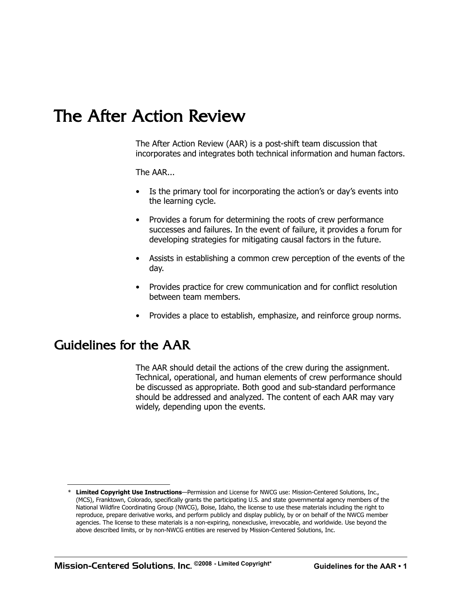# The After Action Review

The After Action Review (AAR) is a post-shift team discussion that incorporates and integrates both technical information and human factors.

The AAR...

- Is the primary tool for incorporating the action's or day's events into the learning cycle.
- Provides a forum for determining the roots of crew performance successes and failures. In the event of failure, it provides a forum for developing strategies for mitigating causal factors in the future.
- Assists in establishing a common crew perception of the events of the day.
- Provides practice for crew communication and for conflict resolution between team members.
- Provides a place to establish, emphasize, and reinforce group norms.

### Guidelines for the AAR

 Technical, operational, and human elements of crew performance should The AAR should detail the actions of the crew during the assignment. be discussed as appropriate. Both good and sub-standard performance should be addressed and analyzed. The content of each AAR may vary widely, depending upon the events.

 \* **Limited Copyright Use Instructions**—Permission and License for NWCG use: Mission-Centered Solutions, Inc., (MCS), Franktown, Colorado, specifically grants the participating U.S. and state governmental agency members of the National Wildfire Coordinating Group (NWCG), Boise, Idaho, the license to use these materials including the right to reproduce, prepare derivative works, and perform publicly and display publicly, by or on behalf of the NWCG member agencies. The license to these materials is a non-expiring, nonexclusive, irrevocable, and worldwide. Use beyond the above described limits, or by non-NWCG entities are reserved by Mission-Centered Solutions, Inc.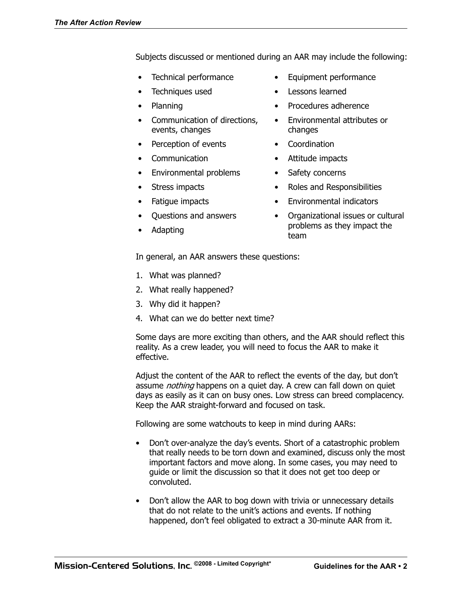Subjects discussed or mentioned during an AAR may include the following:

- 
- Techniques used Lessons learned
- 
- events, changes changes
- Perception of events Coordination
- 
- • Environmental problems Safety concerns
- 
- 
- 
- 
- Technical performance Equipment performance
	-
- Planning **•** Procedures adherence
- • Communication of directions, Environmental attributes or
	-
- • Communication Attitude impacts
	-
- Stress impacts Roles and Responsibilities
- Fatigue impacts Environmental indicators
	- Questions and answers Organizational issues or cultural Adapting entity and the settle of the example of the team and the team of the settle team of the settle settle

In general, an AAR answers these questions:

- 1. What was planned?
- 2. What really happened?
- 3. Why did it happen?
- 4. What can we do better next time?

Some days are more exciting than others, and the AAR should reflect this reality. As a crew leader, you will need to focus the AAR to make it effective.

Adjust the content of the AAR to reflect the events of the day, but don't assume *nothing* happens on a quiet day. A crew can fall down on quiet days as easily as it can on busy ones. Low stress can breed complacency. Keep the AAR straight-forward and focused on task.

Following are some watchouts to keep in mind during AARs:

- Don't over-analyze the day's events. Short of a catastrophic problem important factors and move along. In some cases, you may need to that really needs to be torn down and examined, discuss only the most guide or limit the discussion so that it does not get too deep or convoluted.
- Don't allow the AAR to bog down with trivia or unnecessary details that do not relate to the unit's actions and events. If nothing happened, don't feel obligated to extract a 30-minute AAR from it.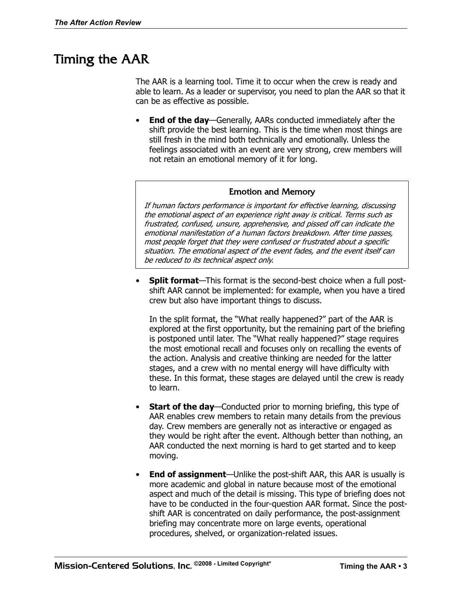# Timing the AAR

The AAR is a learning tool. Time it to occur when the crew is ready and able to learn. As a leader or supervisor, you need to plan the AAR so that it can be as effective as possible.

**End of the day**—Generally, AARs conducted immediately after the shift provide the best learning. This is the time when most things are still fresh in the mind both technically and emotionally. Unless the feelings associated with an event are very strong, crew members will not retain an emotional memory of it for long.

#### Emotion and Memory

If human factors performance is important for effective learning, discussing the emotional aspect of an experience right away is critical. Terms such as frustrated, confused, unsure, apprehensive, and pissed off can indicate the emotional manifestation of a human factors breakdown. After time passes, most people forget that they were confused or frustrated about a specific situation. The emotional aspect of the event fades, and the event itself can be reduced to its technical aspect only.

 shift AAR cannot be implemented: for example, when you have a tired **Split format**—This format is the second-best choice when a full postcrew but also have important things to discuss.

In the split format, the "What really happened?" part of the AAR is explored at the first opportunity, but the remaining part of the briefing is postponed until later. The "What really happened?" stage requires the most emotional recall and focuses only on recalling the events of the action. Analysis and creative thinking are needed for the latter stages, and a crew with no mental energy will have difficulty with these. In this format, these stages are delayed until the crew is ready to learn.

- **Start of the day**—Conducted prior to morning briefing, this type of AAR enables crew members to retain many details from the previous day. Crew members are generally not as interactive or engaged as they would be right after the event. Although better than nothing, an AAR conducted the next morning is hard to get started and to keep moving.
- aspect and much of the detail is missing. This type of briefing does not **End of assignment**—Unlike the post-shift AAR, this AAR is usually is more academic and global in nature because most of the emotional have to be conducted in the four-question AAR format. Since the postshift AAR is concentrated on daily performance, the post-assignment briefing may concentrate more on large events, operational procedures, shelved, or organization-related issues.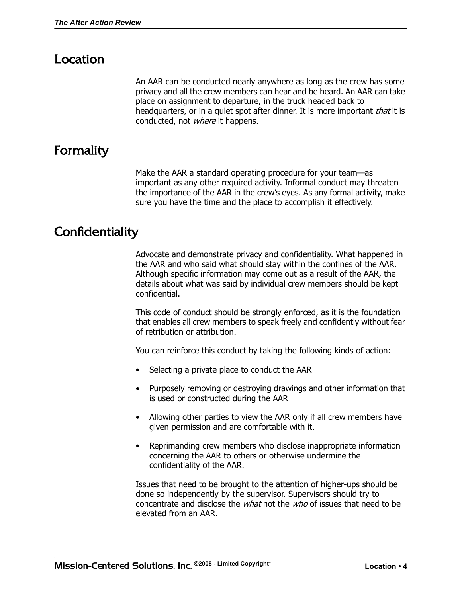## Location

An AAR can be conducted nearly anywhere as long as the crew has some privacy and all the crew members can hear and be heard. An AAR can take place on assignment to departure, in the truck headed back to headquarters, or in a quiet spot after dinner. It is more important *that* it is conducted, not *where* it happens.

## Formality

Make the AAR a standard operating procedure for your team—as important as any other required activity. Informal conduct may threaten the importance of the AAR in the crew's eyes. As any formal activity, make sure you have the time and the place to accomplish it effectively.

### **Confidentiality**

Advocate and demonstrate privacy and confidentiality. What happened in the AAR and who said what should stay within the confines of the AAR. Although specific information may come out as a result of the AAR, the details about what was said by individual crew members should be kept confidential.

This code of conduct should be strongly enforced, as it is the foundation that enables all crew members to speak freely and confidently without fear of retribution or attribution.

You can reinforce this conduct by taking the following kinds of action:

- Selecting a private place to conduct the AAR
- • Purposely removing or destroying drawings and other information that is used or constructed during the AAR
- Allowing other parties to view the AAR only if all crew members have given permission and are comfortable with it.
- Reprimanding crew members who disclose inappropriate information concerning the AAR to others or otherwise undermine the confidentiality of the AAR.

Issues that need to be brought to the attention of higher-ups should be done so independently by the supervisor. Supervisors should try to concentrate and disclose the what not the who of issues that need to be elevated from an AAR.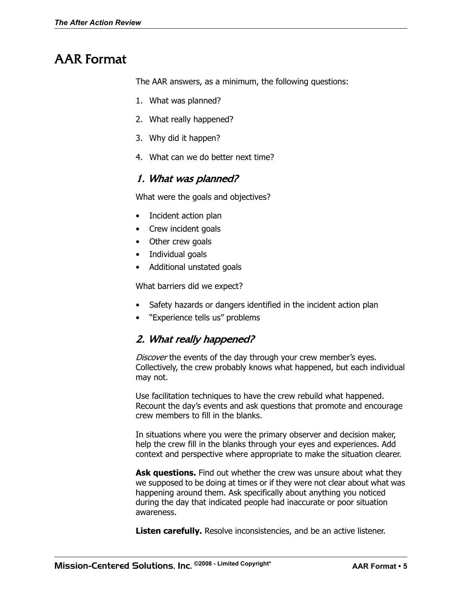# AAR Format

The AAR answers, as a minimum, the following questions:

- 1. What was planned?
- 2. What really happened?
- 3. Why did it happen?
- 4. What can we do better next time?

#### 1. What was planned?

What were the goals and objectives?

- Incident action plan
- Crew incident goals
- Other crew goals
- Individual goals
- Additional unstated goals

What barriers did we expect?

- Safety hazards or dangers identified in the incident action plan
- "Experience tells us" problems

### 2. What really happened?

Discover the events of the day through your crew member's eves. Collectively, the crew probably knows what happened, but each individual may not.

Use facilitation techniques to have the crew rebuild what happened. Recount the day's events and ask questions that promote and encourage crew members to fill in the blanks.

In situations where you were the primary observer and decision maker, help the crew fill in the blanks through your eyes and experiences. Add context and perspective where appropriate to make the situation clearer.

Ask questions. Find out whether the crew was unsure about what they we supposed to be doing at times or if they were not clear about what was happening around them. Ask specifically about anything you noticed during the day that indicated people had inaccurate or poor situation awareness.

**Listen carefully.** Resolve inconsistencies, and be an active listener.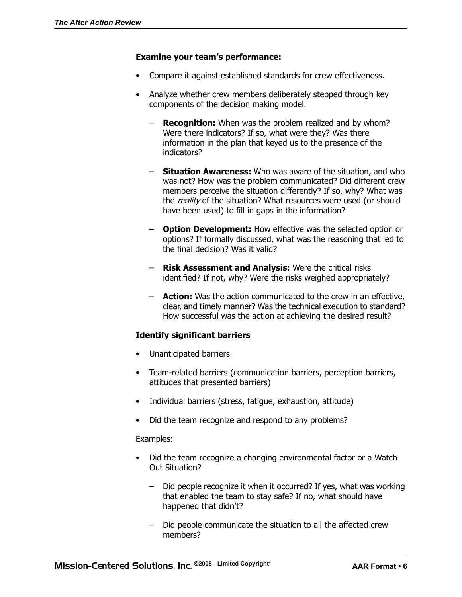#### **Examine your team's performance:**

- Compare it against established standards for crew effectiveness.
- Analyze whether crew members deliberately stepped through key components of the decision making model.
	- **Recognition:** When was the problem realized and by whom? Were there indicators? If so, what were they? Was there information in the plan that keyed us to the presence of the indicators?
	- – **Situation Awareness:** Who was aware of the situation, and who was not? How was the problem communicated? Did different crew members perceive the situation differently? If so, why? What was the reality of the situation? What resources were used (or should have been used) to fill in gaps in the information?
	- – **Option Development:** How effective was the selected option or options? If formally discussed, what was the reasoning that led to the final decision? Was it valid?
	- – **Risk Assessment and Analysis:** Were the critical risks identified? If not, why? Were the risks weighed appropriately?
	- – **Action:** Was the action communicated to the crew in an effective, clear, and timely manner? Was the technical execution to standard? How successful was the action at achieving the desired result?

#### **Identify significant barriers**

- Unanticipated barriers
- Team-related barriers (communication barriers, perception barriers, attitudes that presented barriers)
- Individual barriers (stress, fatique, exhaustion, attitude)
- Did the team recognize and respond to any problems?

#### Examples:

- Did the team recognize a changing environmental factor or a Watch Out Situation?
	- Did people recognize it when it occurred? If yes, what was working that enabled the team to stay safe? If no, what should have happened that didn't?
	- Did people communicate the situation to all the affected crew members?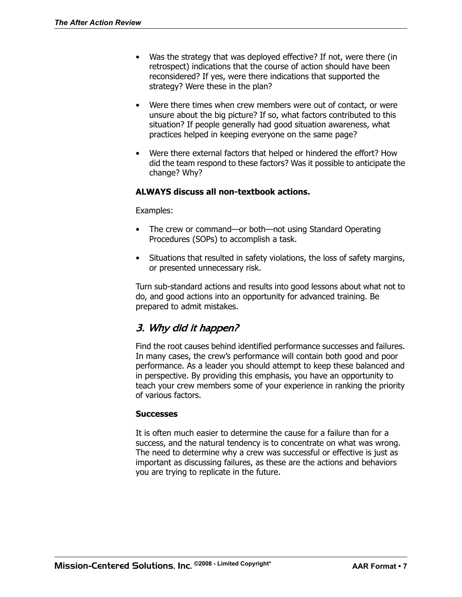- Was the strategy that was deployed effective? If not, were there (in retrospect) indications that the course of action should have been reconsidered? If yes, were there indications that supported the strategy? Were these in the plan?
- Were there times when crew members were out of contact, or were unsure about the big picture? If so, what factors contributed to this situation? If people generally had good situation awareness, what practices helped in keeping everyone on the same page?
- Were there external factors that helped or hindered the effort? How did the team respond to these factors? Was it possible to anticipate the change? Why?

#### **ALWAYS discuss all non-textbook actions.**

#### Examples:

- The crew or command—or both—not using Standard Operating Procedures (SOPs) to accomplish a task.
- Situations that resulted in safety violations, the loss of safety margins, or presented unnecessary risk.

Turn sub-standard actions and results into good lessons about what not to do, and good actions into an opportunity for advanced training. Be prepared to admit mistakes.

### 3. Why did it happen?

Find the root causes behind identified performance successes and failures. In many cases, the crew's performance will contain both good and poor performance. As a leader you should attempt to keep these balanced and in perspective. By providing this emphasis, you have an opportunity to teach your crew members some of your experience in ranking the priority of various factors.

#### **Successes**

It is often much easier to determine the cause for a failure than for a success, and the natural tendency is to concentrate on what was wrong. The need to determine why a crew was successful or effective is just as important as discussing failures, as these are the actions and behaviors you are trying to replicate in the future.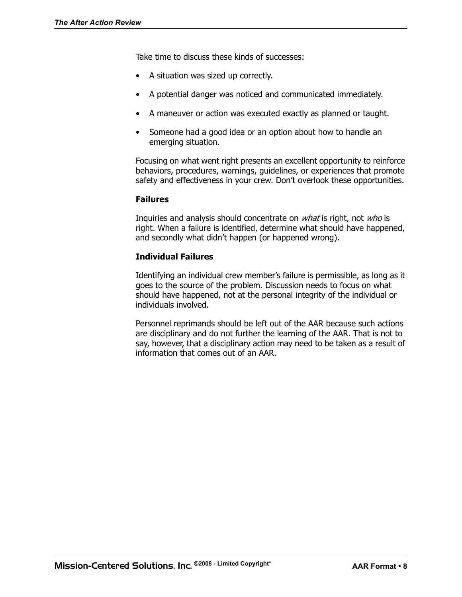Take time to discuss these kinds of successes:

- • A situation was sized up correctly.
- A potential danger was noticed and communicated immediately.
- A maneuver or action was executed exactly as planned or taught.
- Someone had a good idea or an option about how to handle an emerging situation.

 safety and effectiveness in your crew. Don't overlook these opportunities. Focusing on what went right presents an excellent opportunity to reinforce behaviors, procedures, warnings, guidelines, or experiences that promote

#### **Failures**

Inquiries and analysis should concentrate on *what* is right, not *who* is right. When a failure is identified, determine what should have happened, and secondly what didn't happen (or happened wrong).

#### **Individual Failures**

 should have happened, not at the personal integrity of the individual or Identifying an individual crew member's failure is permissible, as long as it goes to the source of the problem. Discussion needs to focus on what individuals involved.

 Personnel reprimands should be left out of the AAR because such actions are disciplinary and do not further the learning of the AAR. That is not to say, however, that a disciplinary action may need to be taken as a result of information that comes out of an AAR.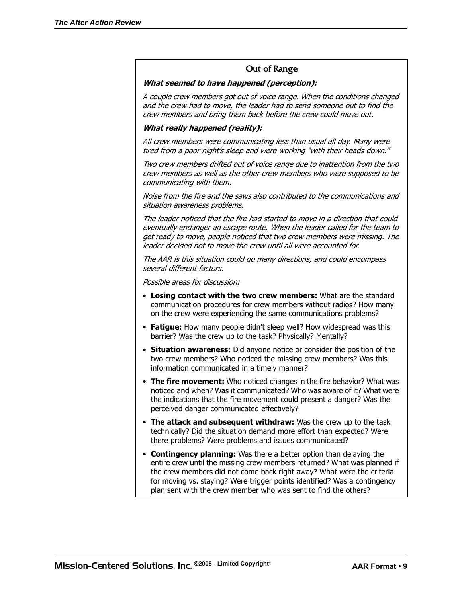#### Out of Range

#### **What seemed to have happened (perception):**

A couple crew members got out of voice range. When the conditions changed and the crew had to move, the leader had to send someone out to find the crew members and bring them back before the crew could move out.

#### **What really happened (reality):**

All crew members were communicating less than usual all day. Many were tired from a poor night's sleep and were working "with their heads down."

Two crew members drifted out of voice range due to inattention from the two crew members as well as the other crew members who were supposed to be communicating with them.

Noise from the fire and the saws also contributed to the communications and situation awareness problems.

The leader noticed that the fire had started to move in a direction that could eventually endanger an escape route. When the leader called for the team to get ready to move, people noticed that two crew members were missing. The leader decided not to move the crew until all were accounted for.

The AAR is this situation could go many directions, and could encompass several different factors.

Possible areas for discussion:

- • **Losing contact with the two crew members:** What are the standard communication procedures for crew members without radios? How many on the crew were experiencing the same communications problems?
- Fatigue: How many people didn't sleep well? How widespread was this barrier? Was the crew up to the task? Physically? Mentally?
- **Situation awareness:** Did anyone notice or consider the position of the two crew members? Who noticed the missing crew members? Was this information communicated in a timely manner?
- The fire movement: Who noticed changes in the fire behavior? What was noticed and when? Was it communicated? Who was aware of it? What were the indications that the fire movement could present a danger? Was the perceived danger communicated effectively?
- The attack and subsequent withdraw: Was the crew up to the task technically? Did the situation demand more effort than expected? Were there problems? Were problems and issues communicated?
- the crew members did not come back right away? What were the criteria • **Contingency planning:** Was there a better option than delaying the entire crew until the missing crew members returned? What was planned if for moving vs. staying? Were trigger points identified? Was a contingency plan sent with the crew member who was sent to find the others?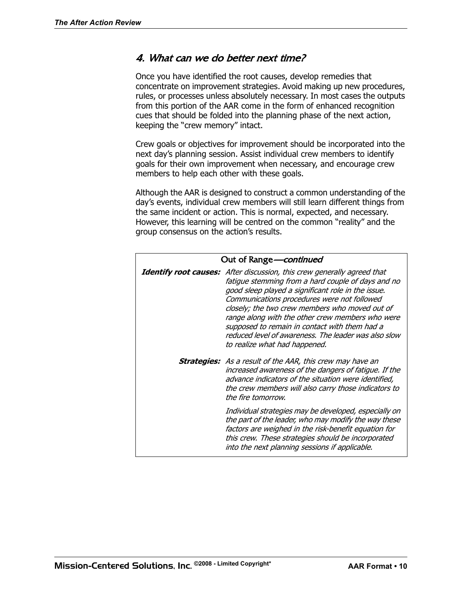#### 4. What can we do better next time?

Once you have identified the root causes, develop remedies that concentrate on improvement strategies. Avoid making up new procedures, rules, or processes unless absolutely necessary. In most cases the outputs from this portion of the AAR come in the form of enhanced recognition cues that should be folded into the planning phase of the next action, keeping the "crew memory" intact.

Crew goals or objectives for improvement should be incorporated into the next day's planning session. Assist individual crew members to identify goals for their own improvement when necessary, and encourage crew members to help each other with these goals.

Although the AAR is designed to construct a common understanding of the day's events, individual crew members will still learn different things from the same incident or action. This is normal, expected, and necessary. However, this learning will be centred on the common "reality" and the group consensus on the action's results.

| Out of Range <i>- continued</i> |                                                                                                                                                                                                                                                                                                                                                                                                                                                                                           |
|---------------------------------|-------------------------------------------------------------------------------------------------------------------------------------------------------------------------------------------------------------------------------------------------------------------------------------------------------------------------------------------------------------------------------------------------------------------------------------------------------------------------------------------|
|                                 | <b>Identify root causes:</b> After discussion, this crew generally agreed that<br>fatigue stemming from a hard couple of days and no<br>good sleep played a significant role in the issue.<br>Communications procedures were not followed<br>closely; the two crew members who moved out of<br>range along with the other crew members who were<br>supposed to remain in contact with them had a<br>reduced level of awareness. The leader was also slow<br>to realize what had happened. |
|                                 | <b>Strategies:</b> As a result of the AAR, this crew may have an<br>increased awareness of the dangers of fatigue. If the<br>advance indicators of the situation were identified,<br>the crew members will also carry those indicators to<br>the fire tomorrow.                                                                                                                                                                                                                           |
|                                 | Individual strategies may be developed, especially on<br>the part of the leader, who may modify the way these<br>factors are weighed in the risk-benefit equation for<br>this crew. These strategies should be incorporated<br>into the next planning sessions if applicable.                                                                                                                                                                                                             |